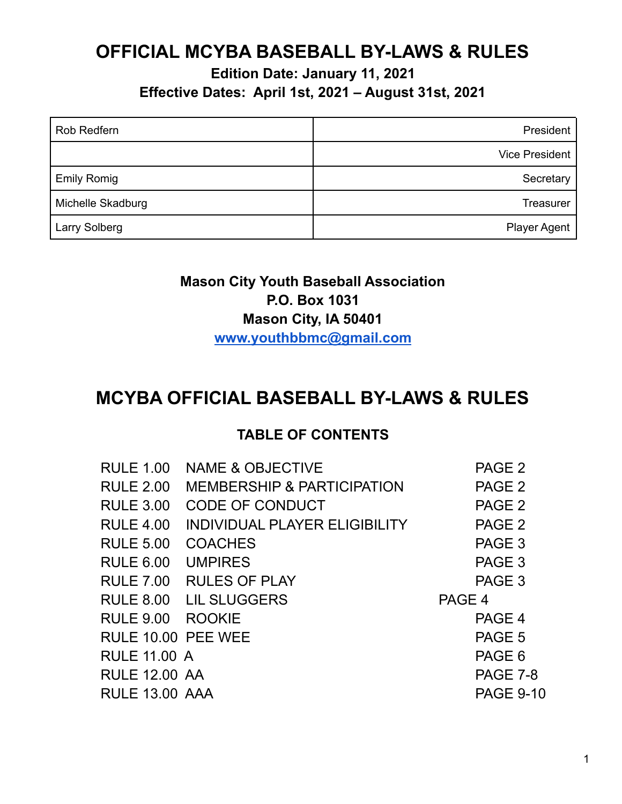## **OFFICIAL MCYBA BASEBALL BY-LAWS & RULES**

**Edition Date: January 11, 2021 Effective Dates: April 1st, 2021 – August 31st, 2021**

| <b>Rob Redfern</b>   | President             |
|----------------------|-----------------------|
|                      | <b>Vice President</b> |
| <b>Emily Romig</b>   | Secretary             |
| Michelle Skadburg    | Treasurer             |
| <b>Larry Solberg</b> | <b>Player Agent</b>   |

### **Mason City Youth Baseball Association P.O. Box 1031 Mason City, IA 50401 [www.youthbbmc@gmail.com](http://www.youthbbmc@gmail.com)**

## **MCYBA OFFICIAL BASEBALL BY-LAWS & RULES**

#### **TABLE OF CONTENTS**

| <b>RULE 1.00</b>      | <b>NAME &amp; OBJECTIVE</b>           | PAGE <sub>2</sub> |
|-----------------------|---------------------------------------|-------------------|
| <b>RULE 2.00</b>      | <b>MEMBERSHIP &amp; PARTICIPATION</b> | PAGE <sub>2</sub> |
| <b>RULE 3.00</b>      | CODE OF CONDUCT                       | PAGE <sub>2</sub> |
| <b>RULE 4.00</b>      | INDIVIDUAL PLAYER ELIGIBILITY         | PAGE <sub>2</sub> |
| <b>RULE 5.00</b>      | <b>COACHES</b>                        | PAGE 3            |
| <b>RULE 6.00</b>      | <b>UMPIRES</b>                        | PAGE 3            |
| <b>RULE 7.00</b>      | <b>RULES OF PLAY</b>                  | PAGE 3            |
|                       | RULE 8.00 LIL SLUGGERS                | PAGE 4            |
| RULE 9.00 ROOKIE      |                                       | PAGE 4            |
| RULE 10.00 PEE WEE    |                                       | PAGE 5            |
| <b>RULE 11.00 A</b>   |                                       | PAGE 6            |
| <b>RULE 12.00 AA</b>  |                                       | PAGE 7-8          |
| <b>RULE 13.00 AAA</b> |                                       | <b>PAGE 9-10</b>  |
|                       |                                       |                   |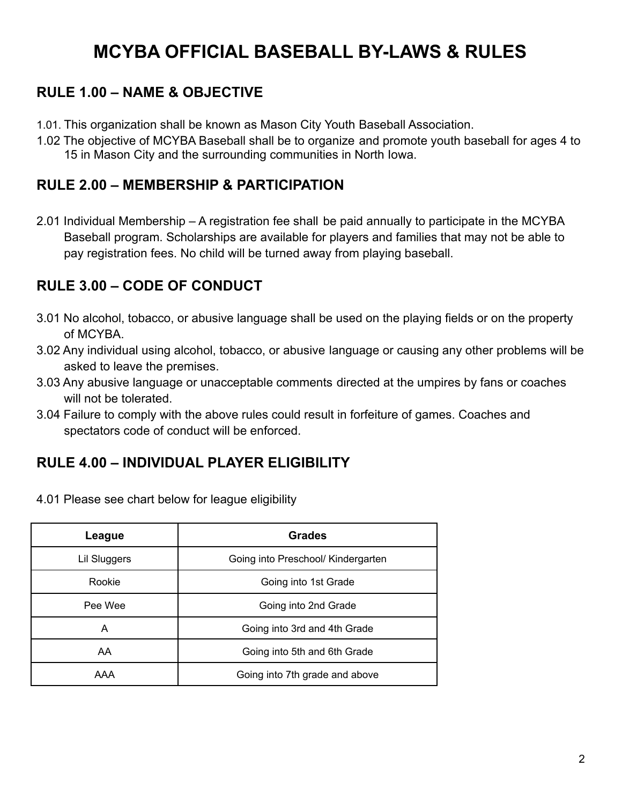# **MCYBA OFFICIAL BASEBALL BY-LAWS & RULES**

### **RULE 1.00 – NAME & OBJECTIVE**

- 1.01. This organization shall be known as Mason City Youth Baseball Association.
- 1.02 The objective of MCYBA Baseball shall be to organize and promote youth baseball for ages 4 to 15 in Mason City and the surrounding communities in North Iowa.

### **RULE 2.00 – MEMBERSHIP & PARTICIPATION**

2.01 Individual Membership – A registration fee shall be paid annually to participate in the MCYBA Baseball program. Scholarships are available for players and families that may not be able to pay registration fees. No child will be turned away from playing baseball.

### **RULE 3.00 – CODE OF CONDUCT**

- 3.01 No alcohol, tobacco, or abusive language shall be used on the playing fields or on the property of MCYBA.
- 3.02 Any individual using alcohol, tobacco, or abusive language or causing any other problems will be asked to leave the premises.
- 3.03 Any abusive language or unacceptable comments directed at the umpires by fans or coaches will not be tolerated.
- 3.04 Failure to comply with the above rules could result in forfeiture of games. Coaches and spectators code of conduct will be enforced.

### **RULE 4.00 – INDIVIDUAL PLAYER ELIGIBILITY**

| League       | <b>Grades</b>                      |  |
|--------------|------------------------------------|--|
| Lil Sluggers | Going into Preschool/ Kindergarten |  |
| Rookie       | Going into 1st Grade               |  |
| Pee Wee      | Going into 2nd Grade               |  |
| A            | Going into 3rd and 4th Grade       |  |
| AA.          | Going into 5th and 6th Grade       |  |
| AAA          | Going into 7th grade and above     |  |

4.01 Please see chart below for league eligibility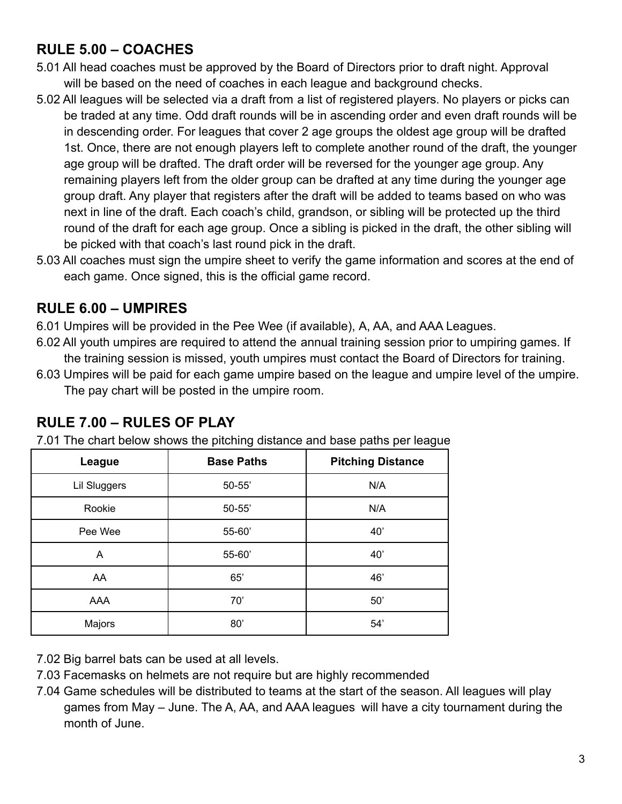### **RULE 5.00 – COACHES**

- 5.01 All head coaches must be approved by the Board of Directors prior to draft night. Approval will be based on the need of coaches in each league and background checks.
- 5.02 All leagues will be selected via a draft from a list of registered players. No players or picks can be traded at any time. Odd draft rounds will be in ascending order and even draft rounds will be in descending order. For leagues that cover 2 age groups the oldest age group will be drafted 1st. Once, there are not enough players left to complete another round of the draft, the younger age group will be drafted. The draft order will be reversed for the younger age group. Any remaining players left from the older group can be drafted at any time during the younger age group draft. Any player that registers after the draft will be added to teams based on who was next in line of the draft. Each coach's child, grandson, or sibling will be protected up the third round of the draft for each age group. Once a sibling is picked in the draft, the other sibling will be picked with that coach's last round pick in the draft.
- 5.03 All coaches must sign the umpire sheet to verify the game information and scores at the end of each game. Once signed, this is the official game record.

#### **RULE 6.00 – UMPIRES**

- 6.01 Umpires will be provided in the Pee Wee (if available), A, AA, and AAA Leagues.
- 6.02 All youth umpires are required to attend the annual training session prior to umpiring games. If the training session is missed, youth umpires must contact the Board of Directors for training.
- 6.03 Umpires will be paid for each game umpire based on the league and umpire level of the umpire. The pay chart will be posted in the umpire room.

| League       | <b>Base Paths</b> | <b>Pitching Distance</b> |
|--------------|-------------------|--------------------------|
| Lil Sluggers | $50 - 55'$        | N/A                      |
| Rookie       | $50 - 55'$        | N/A                      |
| Pee Wee      | 55-60'            | 40'                      |
| A            | 55-60'            | 40'                      |
| AA           | 65'               | 46'                      |
| AAA          | 70'               | 50'                      |
| Majors       | 80'               | 54'                      |

### **RULE 7.00 – RULES OF PLAY**

7.01 The chart below shows the pitching distance and base paths per league

7.02 Big barrel bats can be used at all levels.

- 7.03 Facemasks on helmets are not require but are highly recommended
- 7.04 Game schedules will be distributed to teams at the start of the season. All leagues will play games from May – June. The A, AA, and AAA leagues will have a city tournament during the month of June.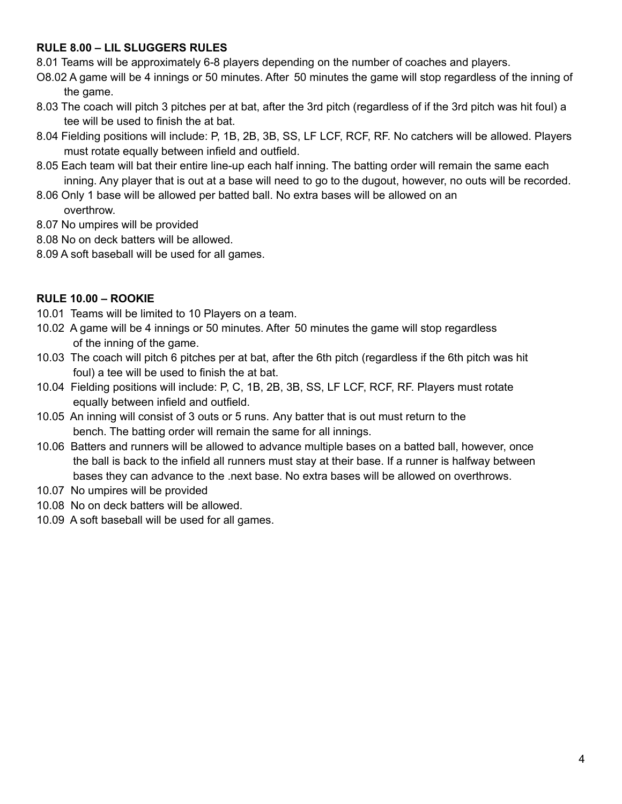#### **RULE 8.00 – LIL SLUGGERS RULES**

8.01 Teams will be approximately 6-8 players depending on the number of coaches and players.

- O8.02 A game will be 4 innings or 50 minutes. After 50 minutes the game will stop regardless of the inning of the game.
- 8.03 The coach will pitch 3 pitches per at bat, after the 3rd pitch (regardless of if the 3rd pitch was hit foul) a tee will be used to finish the at bat.
- 8.04 Fielding positions will include: P, 1B, 2B, 3B, SS, LF LCF, RCF, RF. No catchers will be allowed. Players must rotate equally between infield and outfield.
- 8.05 Each team will bat their entire line-up each half inning. The batting order will remain the same each inning. Any player that is out at a base will need to go to the dugout, however, no outs will be recorded.
- 8.06 Only 1 base will be allowed per batted ball. No extra bases will be allowed on an overthrow.
- 8.07 No umpires will be provided
- 8.08 No on deck batters will be allowed.
- 8.09 A soft baseball will be used for all games.

#### **RULE 10.00 – ROOKIE**

- 10.01 Teams will be limited to 10 Players on a team.
- 10.02 A game will be 4 innings or 50 minutes. After 50 minutes the game will stop regardless of the inning of the game.
- 10.03 The coach will pitch 6 pitches per at bat, after the 6th pitch (regardless if the 6th pitch was hit foul) a tee will be used to finish the at bat.
- 10.04 Fielding positions will include: P, C, 1B, 2B, 3B, SS, LF LCF, RCF, RF. Players must rotate equally between infield and outfield.
- 10.05 An inning will consist of 3 outs or 5 runs. Any batter that is out must return to the bench. The batting order will remain the same for all innings.
- 10.06 Batters and runners will be allowed to advance multiple bases on a batted ball, however, once the ball is back to the infield all runners must stay at their base. If a runner is halfway between bases they can advance to the .next base. No extra bases will be allowed on overthrows.
- 10.07 No umpires will be provided
- 10.08 No on deck batters will be allowed.
- 10.09 A soft baseball will be used for all games.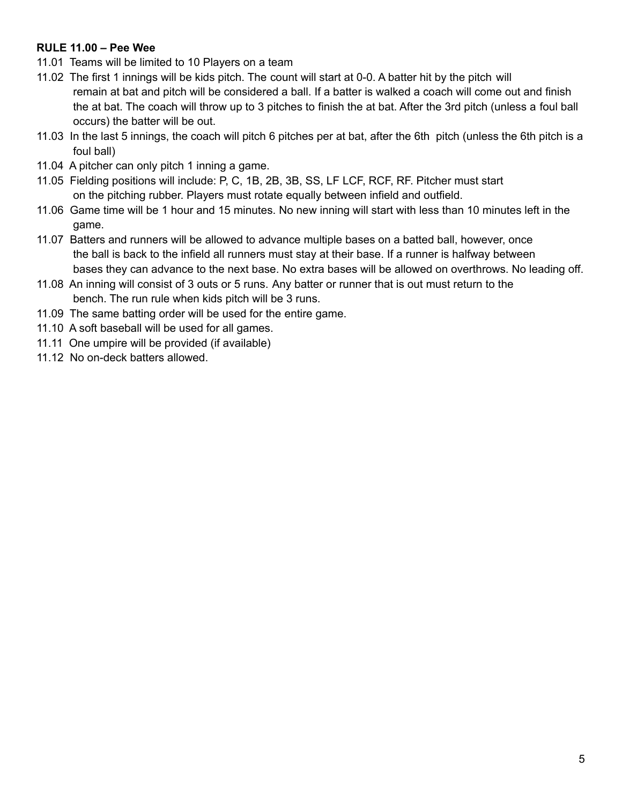#### **RULE 11.00 – Pee Wee**

- 11.01 Teams will be limited to 10 Players on a team
- 11.02 The first 1 innings will be kids pitch. The count will start at 0-0. A batter hit by the pitch will remain at bat and pitch will be considered a ball. If a batter is walked a coach will come out and finish the at bat. The coach will throw up to 3 pitches to finish the at bat. After the 3rd pitch (unless a foul ball occurs) the batter will be out.
- 11.03 In the last 5 innings, the coach will pitch 6 pitches per at bat, after the 6th pitch (unless the 6th pitch is a foul ball)
- 11.04 A pitcher can only pitch 1 inning a game.
- 11.05 Fielding positions will include: P, C, 1B, 2B, 3B, SS, LF LCF, RCF, RF. Pitcher must start on the pitching rubber. Players must rotate equally between infield and outfield.
- 11.06 Game time will be 1 hour and 15 minutes. No new inning will start with less than 10 minutes left in the game.
- 11.07 Batters and runners will be allowed to advance multiple bases on a batted ball, however, once the ball is back to the infield all runners must stay at their base. If a runner is halfway between bases they can advance to the next base. No extra bases will be allowed on overthrows. No leading off.
- 11.08 An inning will consist of 3 outs or 5 runs. Any batter or runner that is out must return to the bench. The run rule when kids pitch will be 3 runs.
- 11.09 The same batting order will be used for the entire game.
- 11.10 A soft baseball will be used for all games.
- 11.11 One umpire will be provided (if available)
- 11.12 No on-deck batters allowed.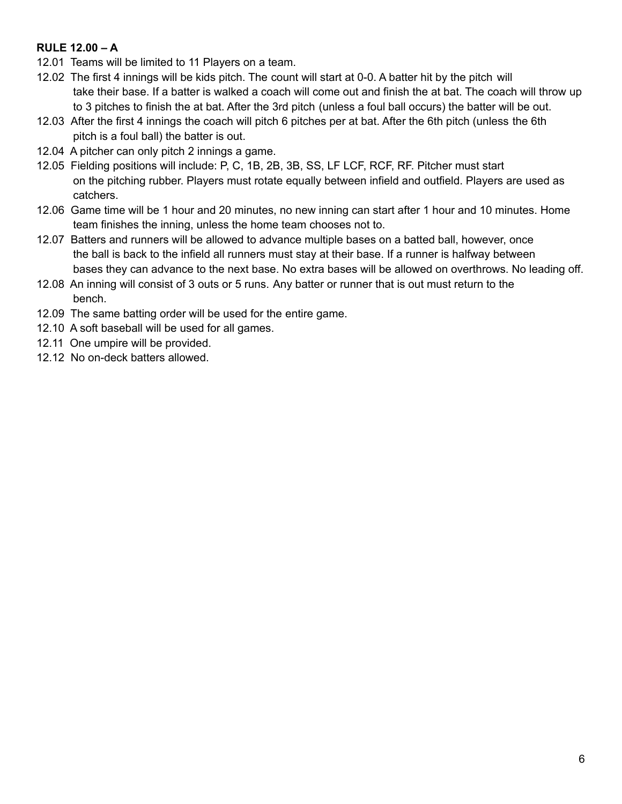#### **RULE 12.00 – A**

- 12.01 Teams will be limited to 11 Players on a team.
- 12.02 The first 4 innings will be kids pitch. The count will start at 0-0. A batter hit by the pitch will take their base. If a batter is walked a coach will come out and finish the at bat. The coach will throw up to 3 pitches to finish the at bat. After the 3rd pitch (unless a foul ball occurs) the batter will be out.
- 12.03 After the first 4 innings the coach will pitch 6 pitches per at bat. After the 6th pitch (unless the 6th pitch is a foul ball) the batter is out.
- 12.04 A pitcher can only pitch 2 innings a game.
- 12.05 Fielding positions will include: P, C, 1B, 2B, 3B, SS, LF LCF, RCF, RF. Pitcher must start on the pitching rubber. Players must rotate equally between infield and outfield. Players are used as catchers.
- 12.06 Game time will be 1 hour and 20 minutes, no new inning can start after 1 hour and 10 minutes. Home team finishes the inning, unless the home team chooses not to.
- 12.07 Batters and runners will be allowed to advance multiple bases on a batted ball, however, once the ball is back to the infield all runners must stay at their base. If a runner is halfway between bases they can advance to the next base. No extra bases will be allowed on overthrows. No leading off.
- 12.08 An inning will consist of 3 outs or 5 runs. Any batter or runner that is out must return to the bench.
- 12.09 The same batting order will be used for the entire game.
- 12.10 A soft baseball will be used for all games.
- 12.11 One umpire will be provided.
- 12.12 No on-deck batters allowed.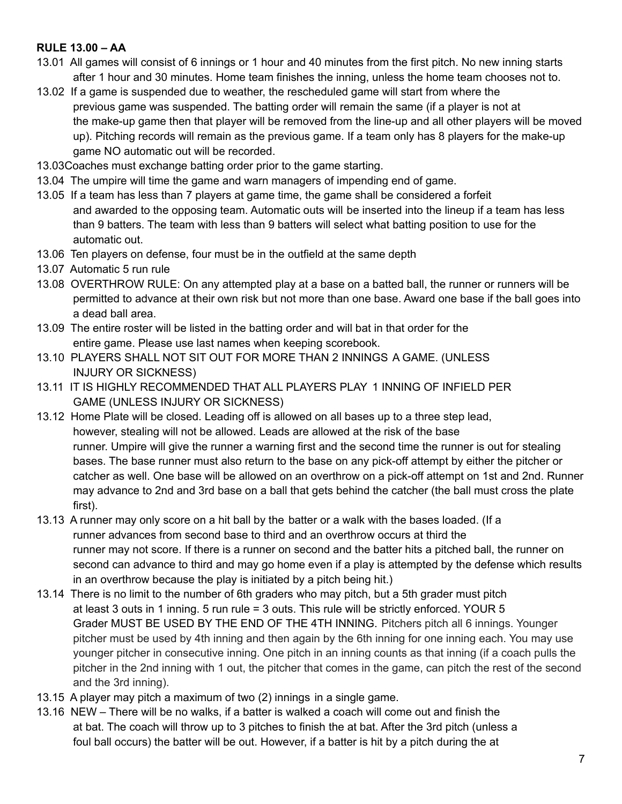#### **RULE 13.00 – AA**

- 13.01 All games will consist of 6 innings or 1 hour and 40 minutes from the first pitch. No new inning starts after 1 hour and 30 minutes. Home team finishes the inning, unless the home team chooses not to.
- 13.02 If a game is suspended due to weather, the rescheduled game will start from where the previous game was suspended. The batting order will remain the same (if a player is not at the make-up game then that player will be removed from the line-up and all other players will be moved up). Pitching records will remain as the previous game. If a team only has 8 players for the make-up game NO automatic out will be recorded.
- 13.03Coaches must exchange batting order prior to the game starting.
- 13.04 The umpire will time the game and warn managers of impending end of game.
- 13.05 If a team has less than 7 players at game time, the game shall be considered a forfeit and awarded to the opposing team. Automatic outs will be inserted into the lineup if a team has less than 9 batters. The team with less than 9 batters will select what batting position to use for the automatic out.
- 13.06 Ten players on defense, four must be in the outfield at the same depth
- 13.07 Automatic 5 run rule
- 13.08 OVERTHROW RULE: On any attempted play at a base on a batted ball, the runner or runners will be permitted to advance at their own risk but not more than one base. Award one base if the ball goes into a dead ball area.
- 13.09 The entire roster will be listed in the batting order and will bat in that order for the entire game. Please use last names when keeping scorebook.
- 13.10 PLAYERS SHALL NOT SIT OUT FOR MORE THAN 2 INNINGS A GAME. (UNLESS INJURY OR SICKNESS)
- 13.11 IT IS HIGHLY RECOMMENDED THAT ALL PLAYERS PLAY 1 INNING OF INFIELD PER GAME (UNLESS INJURY OR SICKNESS)
- 13.12 Home Plate will be closed. Leading off is allowed on all bases up to a three step lead, however, stealing will not be allowed. Leads are allowed at the risk of the base runner. Umpire will give the runner a warning first and the second time the runner is out for stealing bases. The base runner must also return to the base on any pick-off attempt by either the pitcher or catcher as well. One base will be allowed on an overthrow on a pick-off attempt on 1st and 2nd. Runner may advance to 2nd and 3rd base on a ball that gets behind the catcher (the ball must cross the plate first).
- 13.13 A runner may only score on a hit ball by the batter or a walk with the bases loaded. (If a runner advances from second base to third and an overthrow occurs at third the runner may not score. If there is a runner on second and the batter hits a pitched ball, the runner on second can advance to third and may go home even if a play is attempted by the defense which results in an overthrow because the play is initiated by a pitch being hit.)
- 13.14 There is no limit to the number of 6th graders who may pitch, but a 5th grader must pitch at least 3 outs in 1 inning. 5 run rule = 3 outs. This rule will be strictly enforced. YOUR 5 Grader MUST BE USED BY THE END OF THE 4TH INNING. Pitchers pitch all 6 innings. Younger pitcher must be used by 4th inning and then again by the 6th inning for one inning each. You may use younger pitcher in consecutive inning. One pitch in an inning counts as that inning (if a coach pulls the pitcher in the 2nd inning with 1 out, the pitcher that comes in the game, can pitch the rest of the second and the 3rd inning).
- 13.15 A player may pitch a maximum of two (2) innings in a single game.
- 13.16 NEW There will be no walks, if a batter is walked a coach will come out and finish the at bat. The coach will throw up to 3 pitches to finish the at bat. After the 3rd pitch (unless a foul ball occurs) the batter will be out. However, if a batter is hit by a pitch during the at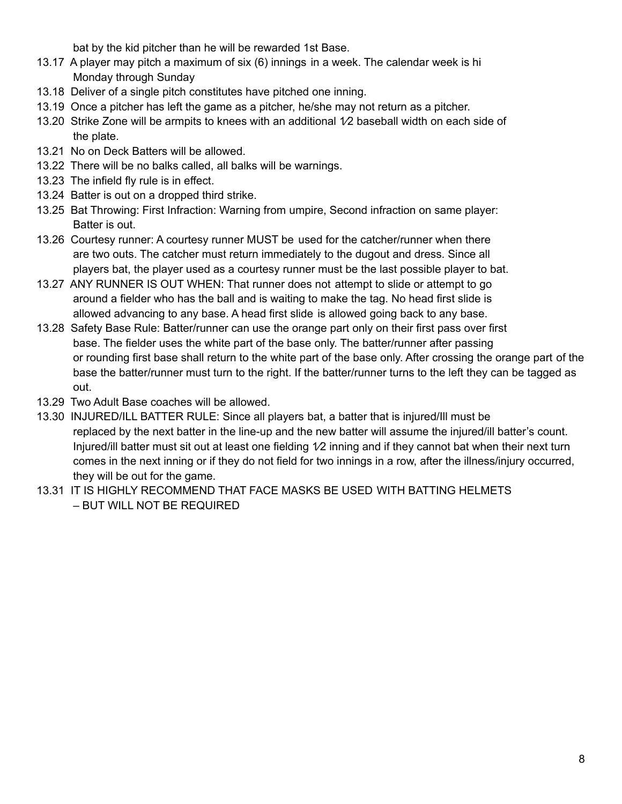bat by the kid pitcher than he will be rewarded 1st Base.

- 13.17 A player may pitch a maximum of six (6) innings in a week. The calendar week is hi Monday through Sunday
- 13.18 Deliver of a single pitch constitutes have pitched one inning.
- 13.19 Once a pitcher has left the game as a pitcher, he/she may not return as a pitcher.
- 13.20 Strike Zone will be armpits to knees with an additional  $1/2$  baseball width on each side of the plate.
- 13.21 No on Deck Batters will be allowed.
- 13.22 There will be no balks called, all balks will be warnings.
- 13.23 The infield fly rule is in effect.
- 13.24 Batter is out on a dropped third strike.
- 13.25 Bat Throwing: First Infraction: Warning from umpire, Second infraction on same player: Batter is out.
- 13.26 Courtesy runner: A courtesy runner MUST be used for the catcher/runner when there are two outs. The catcher must return immediately to the dugout and dress. Since all players bat, the player used as a courtesy runner must be the last possible player to bat.
- 13.27 ANY RUNNER IS OUT WHEN: That runner does not attempt to slide or attempt to go around a fielder who has the ball and is waiting to make the tag. No head first slide is allowed advancing to any base. A head first slide is allowed going back to any base.
- 13.28 Safety Base Rule: Batter/runner can use the orange part only on their first pass over first base. The fielder uses the white part of the base only. The batter/runner after passing or rounding first base shall return to the white part of the base only. After crossing the orange part of the base the batter/runner must turn to the right. If the batter/runner turns to the left they can be tagged as out.
- 13.29 Two Adult Base coaches will be allowed.
- 13.30 INJURED/ILL BATTER RULE: Since all players bat, a batter that is injured/Ill must be replaced by the next batter in the line-up and the new batter will assume the injured/ill batter's count. Injured/ill batter must sit out at least one fielding 1/2 inning and if they cannot bat when their next turn comes in the next inning or if they do not field for two innings in a row, after the illness/injury occurred, they will be out for the game.
- 13.31 IT IS HIGHLY RECOMMEND THAT FACE MASKS BE USED WITH BATTING HELMETS – BUT WILL NOT BE REQUIRED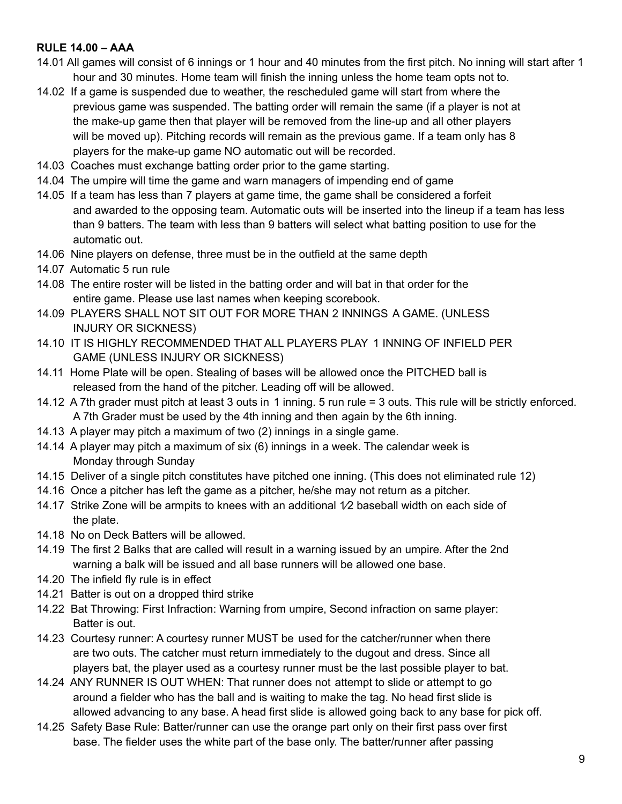#### **RULE 14.00 – AAA**

- 14.01 All games will consist of 6 innings or 1 hour and 40 minutes from the first pitch. No inning will start after 1 hour and 30 minutes. Home team will finish the inning unless the home team opts not to.
- 14.02 If a game is suspended due to weather, the rescheduled game will start from where the previous game was suspended. The batting order will remain the same (if a player is not at the make-up game then that player will be removed from the line-up and all other players will be moved up). Pitching records will remain as the previous game. If a team only has 8 players for the make-up game NO automatic out will be recorded.
- 14.03 Coaches must exchange batting order prior to the game starting.
- 14.04 The umpire will time the game and warn managers of impending end of game
- 14.05 If a team has less than 7 players at game time, the game shall be considered a forfeit and awarded to the opposing team. Automatic outs will be inserted into the lineup if a team has less than 9 batters. The team with less than 9 batters will select what batting position to use for the automatic out.
- 14.06 Nine players on defense, three must be in the outfield at the same depth
- 14.07 Automatic 5 run rule
- 14.08 The entire roster will be listed in the batting order and will bat in that order for the entire game. Please use last names when keeping scorebook.
- 14.09 PLAYERS SHALL NOT SIT OUT FOR MORE THAN 2 INNINGS A GAME. (UNLESS INJURY OR SICKNESS)
- 14.10 IT IS HIGHLY RECOMMENDED THAT ALL PLAYERS PLAY 1 INNING OF INFIELD PER GAME (UNLESS INJURY OR SICKNESS)
- 14.11 Home Plate will be open. Stealing of bases will be allowed once the PITCHED ball is released from the hand of the pitcher. Leading off will be allowed.
- 14.12 A 7th grader must pitch at least 3 outs in 1 inning. 5 run rule = 3 outs. This rule will be strictly enforced. A 7th Grader must be used by the 4th inning and then again by the 6th inning.
- 14.13 A player may pitch a maximum of two (2) innings in a single game.
- 14.14 A player may pitch a maximum of six (6) innings in a week. The calendar week is Monday through Sunday
- 14.15 Deliver of a single pitch constitutes have pitched one inning. (This does not eliminated rule 12)
- 14.16 Once a pitcher has left the game as a pitcher, he/she may not return as a pitcher.
- 14.17 Strike Zone will be armpits to knees with an additional  $1/2$  baseball width on each side of the plate.
- 14.18 No on Deck Batters will be allowed.
- 14.19 The first 2 Balks that are called will result in a warning issued by an umpire. After the 2nd warning a balk will be issued and all base runners will be allowed one base.
- 14.20 The infield fly rule is in effect
- 14.21 Batter is out on a dropped third strike
- 14.22 Bat Throwing: First Infraction: Warning from umpire, Second infraction on same player: Batter is out.
- 14.23 Courtesy runner: A courtesy runner MUST be used for the catcher/runner when there are two outs. The catcher must return immediately to the dugout and dress. Since all players bat, the player used as a courtesy runner must be the last possible player to bat.
- 14.24 ANY RUNNER IS OUT WHEN: That runner does not attempt to slide or attempt to go around a fielder who has the ball and is waiting to make the tag. No head first slide is allowed advancing to any base. A head first slide is allowed going back to any base for pick off.
- 14.25 Safety Base Rule: Batter/runner can use the orange part only on their first pass over first base. The fielder uses the white part of the base only. The batter/runner after passing